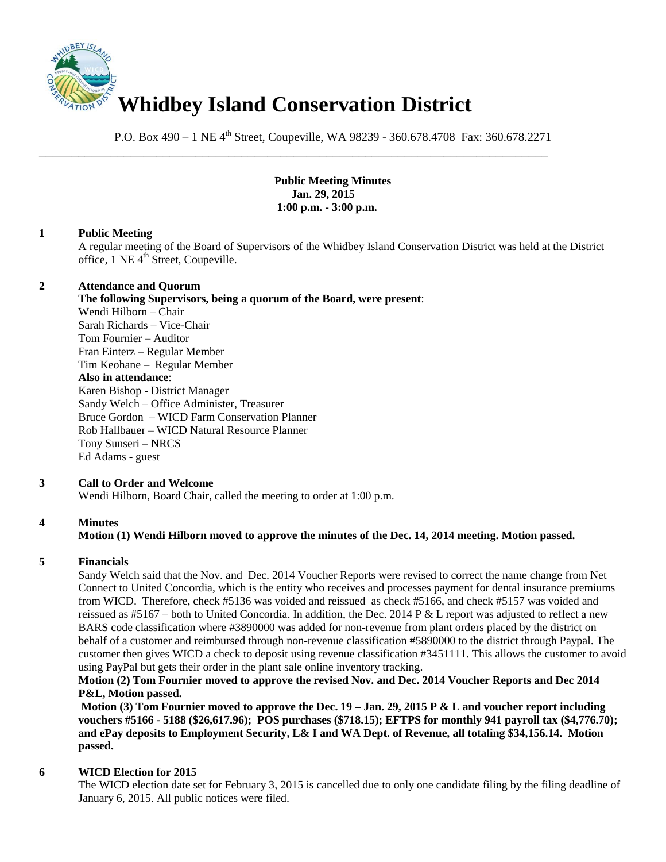

P.O. Box 490 – 1 NE 4<sup>th</sup> Street, Coupeville, WA 98239 - 360.678.4708 Fax: 360.678.2271

\_\_\_\_\_\_\_\_\_\_\_\_\_\_\_\_\_\_\_\_\_\_\_\_\_\_\_\_\_\_\_\_\_\_\_\_\_\_\_\_\_\_\_\_\_\_\_\_\_\_\_\_\_\_\_\_\_\_\_\_\_\_\_\_\_\_\_\_\_\_\_\_\_\_\_\_\_\_

**Public Meeting Minutes Jan. 29, 2015 1:00 p.m. - 3:00 p.m.**

## **1 Public Meeting**

A regular meeting of the Board of Supervisors of the Whidbey Island Conservation District was held at the District office, 1 NE 4<sup>th</sup> Street, Coupeville.

## **2 Attendance and Quorum**

**The following Supervisors, being a quorum of the Board, were present**: Wendi Hilborn – Chair Sarah Richards – Vice-Chair Tom Fournier – Auditor Fran Einterz – Regular Member Tim Keohane – Regular Member **Also in attendance**: Karen Bishop - District Manager Sandy Welch – Office Administer, Treasurer Bruce Gordon – WICD Farm Conservation Planner Rob Hallbauer – WICD Natural Resource Planner Tony Sunseri – NRCS Ed Adams - guest

# **3 Call to Order and Welcome**

Wendi Hilborn, Board Chair, called the meeting to order at 1:00 p.m.

# **4 Minutes**

# **Motion (1) Wendi Hilborn moved to approve the minutes of the Dec. 14, 2014 meeting. Motion passed.**

# **5 Financials**

Sandy Welch said that the Nov. and Dec. 2014 Voucher Reports were revised to correct the name change from Net Connect to United Concordia, which is the entity who receives and processes payment for dental insurance premiums from WICD. Therefore, check #5136 was voided and reissued as check #5166, and check #5157 was voided and reissued as  $#5167$  – both to United Concordia. In addition, the Dec. 2014 P & L report was adjusted to reflect a new BARS code classification where #3890000 was added for non-revenue from plant orders placed by the district on behalf of a customer and reimbursed through non-revenue classification #5890000 to the district through Paypal. The customer then gives WICD a check to deposit using revenue classification #3451111. This allows the customer to avoid using PayPal but gets their order in the plant sale online inventory tracking.

**Motion (2) Tom Fournier moved to approve the revised Nov. and Dec. 2014 Voucher Reports and Dec 2014 P&L, Motion passed.** 

**Motion (3) Tom Fournier moved to approve the Dec. 19 – Jan. 29, 2015 P & L and voucher report including vouchers #5166 - 5188 (\$26,617.96); POS purchases (\$718.15); EFTPS for monthly 941 payroll tax (\$4,776.70); and ePay deposits to Employment Security, L& I and WA Dept. of Revenue, all totaling \$34,156.14. Motion passed.** 

# **6 WICD Election for 2015**

The WICD election date set for February 3, 2015 is cancelled due to only one candidate filing by the filing deadline of January 6, 2015. All public notices were filed.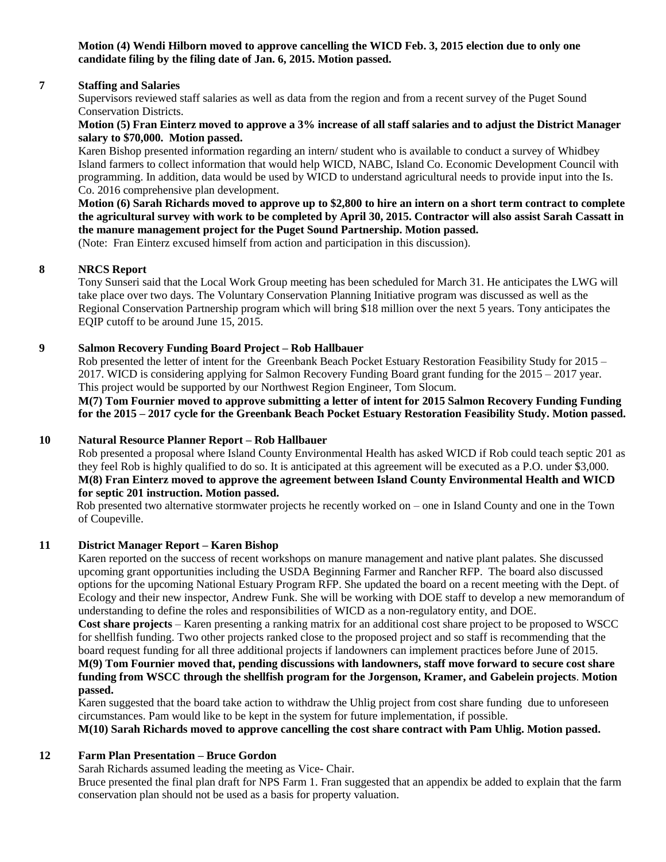**Motion (4) Wendi Hilborn moved to approve cancelling the WICD Feb. 3, 2015 election due to only one candidate filing by the filing date of Jan. 6, 2015. Motion passed.** 

# **7 Staffing and Salaries**

Supervisors reviewed staff salaries as well as data from the region and from a recent survey of the Puget Sound Conservation Districts.

## **Motion (5) Fran Einterz moved to approve a 3% increase of all staff salaries and to adjust the District Manager salary to \$70,000. Motion passed.**

Karen Bishop presented information regarding an intern/ student who is available to conduct a survey of Whidbey Island farmers to collect information that would help WICD, NABC, Island Co. Economic Development Council with programming. In addition, data would be used by WICD to understand agricultural needs to provide input into the Is. Co. 2016 comprehensive plan development.

**Motion (6) Sarah Richards moved to approve up to \$2,800 to hire an intern on a short term contract to complete the agricultural survey with work to be completed by April 30, 2015. Contractor will also assist Sarah Cassatt in the manure management project for the Puget Sound Partnership. Motion passed.** 

(Note: Fran Einterz excused himself from action and participation in this discussion).

## **8 NRCS Report**

Tony Sunseri said that the Local Work Group meeting has been scheduled for March 31. He anticipates the LWG will take place over two days. The Voluntary Conservation Planning Initiative program was discussed as well as the Regional Conservation Partnership program which will bring \$18 million over the next 5 years. Tony anticipates the EQIP cutoff to be around June 15, 2015.

## **9 Salmon Recovery Funding Board Project – Rob Hallbauer**

Rob presented the letter of intent for the Greenbank Beach Pocket Estuary Restoration Feasibility Study for 2015 – 2017. WICD is considering applying for Salmon Recovery Funding Board grant funding for the 2015 – 2017 year. This project would be supported by our Northwest Region Engineer, Tom Slocum.

**M(7) Tom Fournier moved to approve submitting a letter of intent for 2015 Salmon Recovery Funding Funding for the 2015 – 2017 cycle for the Greenbank Beach Pocket Estuary Restoration Feasibility Study. Motion passed.** 

#### **10 Natural Resource Planner Report – Rob Hallbauer**

Rob presented a proposal where Island County Environmental Health has asked WICD if Rob could teach septic 201 as they feel Rob is highly qualified to do so. It is anticipated at this agreement will be executed as a P.O. under \$3,000. **M(8) Fran Einterz moved to approve the agreement between Island County Environmental Health and WICD for septic 201 instruction. Motion passed.** 

Rob presented two alternative stormwater projects he recently worked on – one in Island County and one in the Town of Coupeville.

# **11 District Manager Report – Karen Bishop**

Karen reported on the success of recent workshops on manure management and native plant palates. She discussed upcoming grant opportunities including the USDA Beginning Farmer and Rancher RFP. The board also discussed options for the upcoming National Estuary Program RFP. She updated the board on a recent meeting with the Dept. of Ecology and their new inspector, Andrew Funk. She will be working with DOE staff to develop a new memorandum of understanding to define the roles and responsibilities of WICD as a non-regulatory entity, and DOE.

**Cost share projects** – Karen presenting a ranking matrix for an additional cost share project to be proposed to WSCC for shellfish funding. Two other projects ranked close to the proposed project and so staff is recommending that the board request funding for all three additional projects if landowners can implement practices before June of 2015.

**M(9) Tom Fournier moved that, pending discussions with landowners, staff move forward to secure cost share funding from WSCC through the shellfish program for the Jorgenson, Kramer, and Gabelein projects**. **Motion passed.**

Karen suggested that the board take action to withdraw the Uhlig project from cost share funding due to unforeseen circumstances. Pam would like to be kept in the system for future implementation, if possible.

**M(10) Sarah Richards moved to approve cancelling the cost share contract with Pam Uhlig. Motion passed.** 

#### **12 Farm Plan Presentation – Bruce Gordon**

Sarah Richards assumed leading the meeting as Vice- Chair.

Bruce presented the final plan draft for NPS Farm 1. Fran suggested that an appendix be added to explain that the farm conservation plan should not be used as a basis for property valuation.